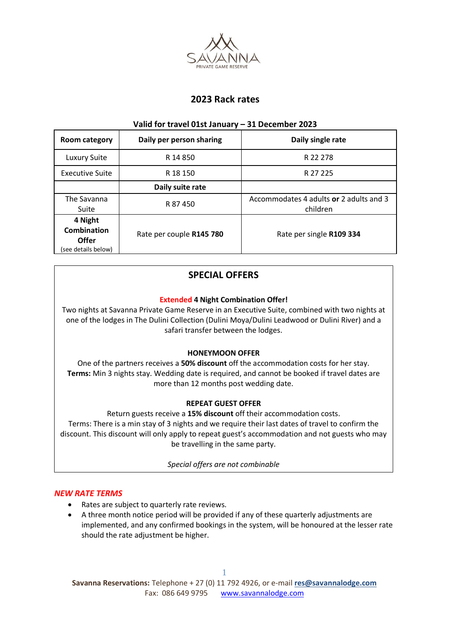

# **2023 Rack rates**

### **Valid for travel 01st January – 31 December 2023**

| Room category                                                        | Daily per person sharing | Daily single rate                                   |
|----------------------------------------------------------------------|--------------------------|-----------------------------------------------------|
| <b>Luxury Suite</b>                                                  | R 14 850                 | R 22 278                                            |
| Executive Suite                                                      | R 18 150                 | R 27 225                                            |
|                                                                      | Daily suite rate         |                                                     |
| The Savanna<br>Suite                                                 | R 87450                  | Accommodates 4 adults or 2 adults and 3<br>children |
| 4 Night<br><b>Combination</b><br><b>Offer</b><br>(see details below) | Rate per couple R145 780 | Rate per single R109 334                            |

# **SPECIAL OFFERS**

# **Extended 4 Night Combination Offer!**

Two nights at Savanna Private Game Reserve in an Executive Suite, combined with two nights at one of the lodges in The Dulini Collection (Dulini Moya/Dulini Leadwood or Dulini River) and a safari transfer between the lodges.

# **HONEYMOON OFFER**

One of the partners receives a **50% discount** off the accommodation costs for her stay. **Terms:** Min 3 nights stay. Wedding date is required, and cannot be booked if travel dates are more than 12 months post wedding date.

# **REPEAT GUEST OFFER**

Return guests receive a **15% discount** off their accommodation costs. Terms: There is a min stay of 3 nights and we require their last dates of travel to confirm the discount. This discount will only apply to repeat guest's accommodation and not guests who may be travelling in the same party.

*Special offers are not combinable*

# *NEW RATE TERMS*

- Rates are subject to quarterly rate reviews.
- A three month notice period will be provided if any of these quarterly adjustments are implemented, and any confirmed bookings in the system, will be honoured at the lesser rate should the rate adjustment be higher.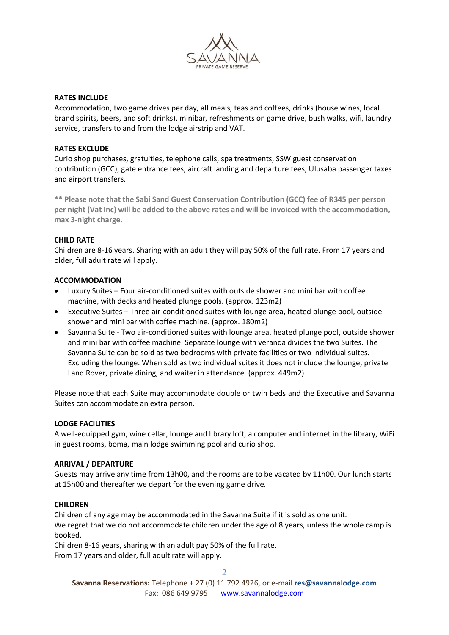

### **RATES INCLUDE**

Accommodation, two game drives per day, all meals, teas and coffees, drinks (house wines, local brand spirits, beers, and soft drinks), minibar, refreshments on game drive, bush walks, wifi, laundry service, transfers to and from the lodge airstrip and VAT.

#### **RATES EXCLUDE**

Curio shop purchases, gratuities, telephone calls, spa treatments, SSW guest conservation contribution (GCC), gate entrance fees, aircraft landing and departure fees, Ulusaba passenger taxes and airport transfers.

**\*\* Please note that the Sabi Sand Guest Conservation Contribution (GCC) fee of R345 per person per night (Vat Inc) will be added to the above rates and will be invoiced with the accommodation, max 3-night charge.** 

## **CHILD RATE**

Children are 8-16 years. Sharing with an adult they will pay 50% of the full rate. From 17 years and older, full adult rate will apply.

## **ACCOMMODATION**

- Luxury Suites Four air-conditioned suites with outside shower and mini bar with coffee machine, with decks and heated plunge pools. (approx. 123m2)
- Executive Suites Three air-conditioned suites with lounge area, heated plunge pool, outside shower and mini bar with coffee machine. (approx. 180m2)
- Savanna Suite Two air-conditioned suites with lounge area, heated plunge pool, outside shower and mini bar with coffee machine. Separate lounge with veranda divides the two Suites. The Savanna Suite can be sold as two bedrooms with private facilities or two individual suites. Excluding the lounge. When sold as two individual suites it does not include the lounge, private Land Rover, private dining, and waiter in attendance. (approx. 449m2)

Please note that each Suite may accommodate double or twin beds and the Executive and Savanna Suites can accommodate an extra person.

#### **LODGE FACILITIES**

A well-equipped gym, wine cellar, lounge and library loft, a computer and internet in the library, WiFi in guest rooms, boma, main lodge swimming pool and curio shop.

#### **ARRIVAL / DEPARTURE**

Guests may arrive any time from 13h00, and the rooms are to be vacated by 11h00. Our lunch starts at 15h00 and thereafter we depart for the evening game drive.

## **CHILDREN**

Children of any age may be accommodated in the Savanna Suite if it is sold as one unit. We regret that we do not accommodate children under the age of 8 years, unless the whole camp is booked.

Children 8-16 years, sharing with an adult pay 50% of the full rate. From 17 years and older, full adult rate will apply.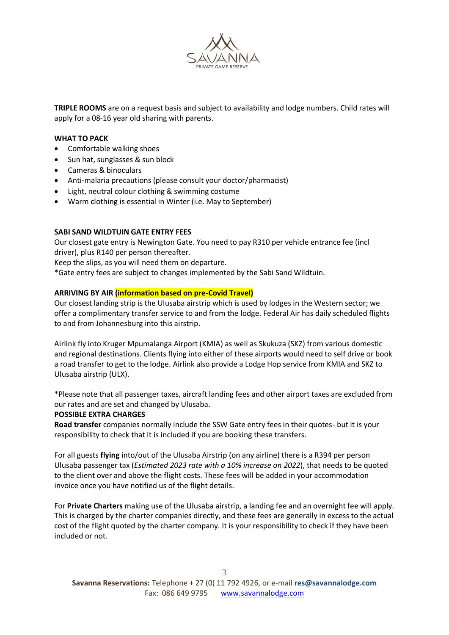

**TRIPLE ROOMS** are on a request basis and subject to availability and lodge numbers. Child rates will apply for a 08-16 year old sharing with parents.

### **WHAT TO PACK**

- Comfortable walking shoes
- Sun hat, sunglasses & sun block
- Cameras & binoculars
- Anti-malaria precautions (please consult your doctor/pharmacist)
- Light, neutral colour clothing & swimming costume
- Warm clothing is essential in Winter (i.e. May to September)

## **SABI SAND WILDTUIN GATE ENTRY FEES**

Our closest gate entry is Newington Gate. You need to pay R310 per vehicle entrance fee (incl driver), plus R140 per person thereafter*.* 

Keep the slips, as you will need them on departure.

\*Gate entry fees are subject to changes implemented by the Sabi Sand Wildtuin.

#### **ARRIVING BY AIR (information based on pre-Covid Travel)**

Our closest landing strip is the Ulusaba airstrip which is used by lodges in the Western sector; we offer a complimentary transfer service to and from the lodge. Federal Air has daily scheduled flights to and from Johannesburg into this airstrip.

Airlink fly into Kruger Mpumalanga Airport (KMIA) as well as Skukuza (SKZ) from various domestic and regional destinations. Clients flying into either of these airports would need to self drive or book a road transfer to get to the lodge. Airlink also provide a Lodge Hop service from KMIA and SKZ to Ulusaba airstrip (ULX).

\*Please note that all passenger taxes, aircraft landing fees and other airport taxes are excluded from our rates and are set and changed by Ulusaba.

#### **POSSIBLE EXTRA CHARGES**

**Road transfer** companies normally include the SSW Gate entry fees in their quotes- but it is your responsibility to check that it is included if you are booking these transfers.

For all guests **flying** into/out of the Ulusaba Airstrip (on any airline) there is a R394 per person Ulusaba passenger tax (*Estimated 2023 rate with a 10% increase on 2022*), that needs to be quoted to the client over and above the flight costs. These fees will be added in your accommodation invoice once you have notified us of the flight details.

For **Private Charters** making use of the Ulusaba airstrip, a landing fee and an overnight fee will apply. This is charged by the charter companies directly, and these fees are generally in excess to the actual cost of the flight quoted by the charter company. It is your responsibility to check if they have been included or not.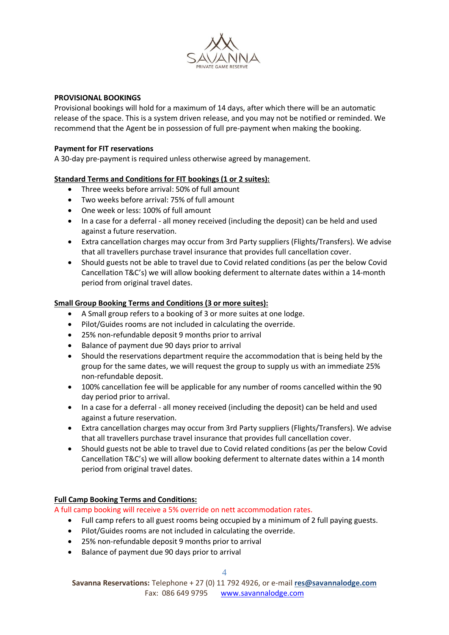

### **PROVISIONAL BOOKINGS**

Provisional bookings will hold for a maximum of 14 days, after which there will be an automatic release of the space. This is a system driven release, and you may not be notified or reminded. We recommend that the Agent be in possession of full pre-payment when making the booking.

### **Payment for FIT reservations**

A 30-day pre-payment is required unless otherwise agreed by management.

## **Standard Terms and Conditions for FIT bookings (1 or 2 suites):**

- Three weeks before arrival: 50% of full amount
- Two weeks before arrival: 75% of full amount
- One week or less: 100% of full amount
- In a case for a deferral all money received (including the deposit) can be held and used against a future reservation.
- Extra cancellation charges may occur from 3rd Party suppliers (Flights/Transfers). We advise that all travellers purchase travel insurance that provides full cancellation cover.
- Should guests not be able to travel due to Covid related conditions (as per the below Covid Cancellation T&C's) we will allow booking deferment to alternate dates within a 14-month period from original travel dates.

## **Small Group Booking Terms and Conditions (3 or more suites):**

- A Small group refers to a booking of 3 or more suites at one lodge.
- Pilot/Guides rooms are not included in calculating the override.
- 25% non-refundable deposit 9 months prior to arrival
- Balance of payment due 90 days prior to arrival
- Should the reservations department require the accommodation that is being held by the group for the same dates, we will request the group to supply us with an immediate 25% non-refundable deposit.
- 100% cancellation fee will be applicable for any number of rooms cancelled within the 90 day period prior to arrival.
- In a case for a deferral all money received (including the deposit) can be held and used against a future reservation.
- Extra cancellation charges may occur from 3rd Party suppliers (Flights/Transfers). We advise that all travellers purchase travel insurance that provides full cancellation cover.
- Should guests not be able to travel due to Covid related conditions (as per the below Covid Cancellation T&C's) we will allow booking deferment to alternate dates within a 14 month period from original travel dates.

#### **Full Camp Booking Terms and Conditions:**

A full camp booking will receive a 5% override on nett accommodation rates.

- Full camp refers to all guest rooms being occupied by a minimum of 2 full paying guests.
- Pilot/Guides rooms are not included in calculating the override.
- 25% non-refundable deposit 9 months prior to arrival
- Balance of payment due 90 days prior to arrival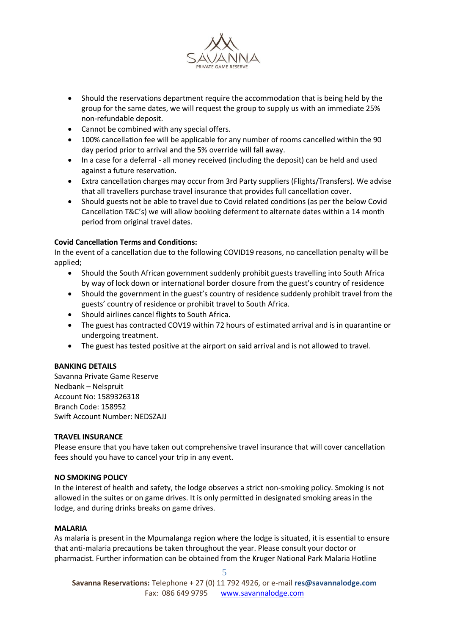

- Should the reservations department require the accommodation that is being held by the group for the same dates, we will request the group to supply us with an immediate 25% non-refundable deposit.
- Cannot be combined with any special offers.
- 100% cancellation fee will be applicable for any number of rooms cancelled within the 90 day period prior to arrival and the 5% override will fall away.
- In a case for a deferral all money received (including the deposit) can be held and used against a future reservation.
- Extra cancellation charges may occur from 3rd Party suppliers (Flights/Transfers). We advise that all travellers purchase travel insurance that provides full cancellation cover.
- Should guests not be able to travel due to Covid related conditions (as per the below Covid Cancellation T&C's) we will allow booking deferment to alternate dates within a 14 month period from original travel dates.

# **Covid Cancellation Terms and Conditions:**

In the event of a cancellation due to the following COVID19 reasons, no cancellation penalty will be applied;

- Should the South African government suddenly prohibit guests travelling into South Africa by way of lock down or international border closure from the guest's country of residence
- Should the government in the guest's country of residence suddenly prohibit travel from the guests' country of residence or prohibit travel to South Africa.
- Should airlines cancel flights to South Africa.
- The guest has contracted COV19 within 72 hours of estimated arrival and is in quarantine or undergoing treatment.
- The guest has tested positive at the airport on said arrival and is not allowed to travel.

# **BANKING DETAILS**

Savanna Private Game Reserve Nedbank – Nelspruit Account No: 1589326318 Branch Code: 158952 Swift Account Number: NEDSZAJJ

# **TRAVEL INSURANCE**

Please ensure that you have taken out comprehensive travel insurance that will cover cancellation fees should you have to cancel your trip in any event.

# **NO SMOKING POLICY**

In the interest of health and safety, the lodge observes a strict non-smoking policy. Smoking is not allowed in the suites or on game drives. It is only permitted in designated smoking areas in the lodge, and during drinks breaks on game drives.

#### **MALARIA**

As malaria is present in the Mpumalanga region where the lodge is situated, it is essential to ensure that anti-malaria precautions be taken throughout the year. Please consult your doctor or pharmacist. Further information can be obtained from the Kruger National Park Malaria Hotline

**Savanna Reservations:** Telephone + 27 (0) 11 792 4926, or e-mail **[res@savannalodge.com](mailto:res@savannalodge.com)** Fax: 086 649 9795 [www.savannalodge.com](http://www.savannalodge.com/)

5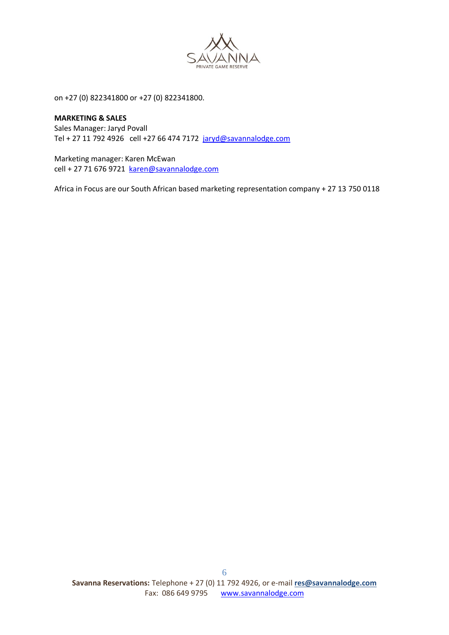

on +27 (0) 822341800 or +27 (0) 822341800.

#### **MARKETING & SALES**

Sales Manager: Jaryd Povall Tel + 27 11 792 4926 cell +27 66 474 7172 [jaryd@savannalodge.com](mailto:jaryd@savannalodge.com)

Marketing manager: Karen McEwan cell + 27 71 676 9721 [karen@savannalodge.com](mailto:karen@savannalodge.com)

Africa in Focus are our South African based marketing representation company + 27 13 750 0118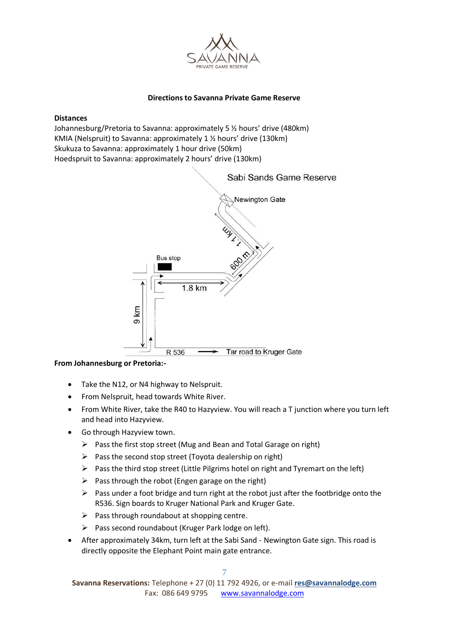

# **Directions to Savanna Private Game Reserve**

#### **Distances**

Johannesburg/Pretoria to Savanna: approximately 5 ½ hours' drive (480km) KMIA (Nelspruit) to Savanna: approximately 1 ½ hours' drive (130km) Skukuza to Savanna: approximately 1 hour drive (50km) Hoedspruit to Savanna: approximately 2 hours' drive (130km)



# **From Johannesburg or Pretoria:-**

- Take the N12, or N4 highway to Nelspruit.
- From Nelspruit, head towards White River.
- From White River, take the R40 to Hazyview. You will reach a T junction where you turn left and head into Hazyview.
- Go through Hazyview town.
	- ➢ Pass the first stop street (Mug and Bean and Total Garage on right)
	- $\triangleright$  Pass the second stop street (Toyota dealership on right)
	- ➢ Pass the third stop street (Little Pilgrims hotel on right and Tyremart on the left)
	- $\triangleright$  Pass through the robot (Engen garage on the right)
	- $\triangleright$  Pass under a foot bridge and turn right at the robot just after the footbridge onto the R536. Sign boards to Kruger National Park and Kruger Gate.
	- $\triangleright$  Pass through roundabout at shopping centre.
	- ➢ Pass second roundabout (Kruger Park lodge on left).
- After approximately 34km, turn left at the Sabi Sand Newington Gate sign. This road is directly opposite the Elephant Point main gate entrance.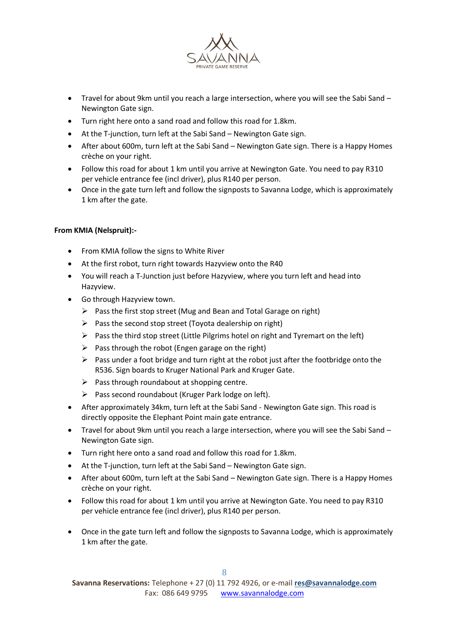

- Travel for about 9km until you reach a large intersection, where you will see the Sabi Sand Newington Gate sign.
- Turn right here onto a sand road and follow this road for 1.8km.
- At the T-junction, turn left at the Sabi Sand Newington Gate sign.
- After about 600m, turn left at the Sabi Sand Newington Gate sign. There is a Happy Homes crèche on your right.
- Follow this road for about 1 km until you arrive at Newington Gate. You need to pay R310 per vehicle entrance fee (incl driver), plus R140 per person.
- Once in the gate turn left and follow the signposts to Savanna Lodge, which is approximately 1 km after the gate.

## **From KMIA (Nelspruit):-**

- From KMIA follow the signs to White River
- At the first robot, turn right towards Hazyview onto the R40
- You will reach a T-Junction just before Hazyview, where you turn left and head into Hazyview.
- Go through Hazyview town.
	- ➢ Pass the first stop street (Mug and Bean and Total Garage on right)
	- $\triangleright$  Pass the second stop street (Toyota dealership on right)
	- ➢ Pass the third stop street (Little Pilgrims hotel on right and Tyremart on the left)
	- $\triangleright$  Pass through the robot (Engen garage on the right)
	- $\triangleright$  Pass under a foot bridge and turn right at the robot just after the footbridge onto the R536. Sign boards to Kruger National Park and Kruger Gate.
	- $\triangleright$  Pass through roundabout at shopping centre.
	- $\triangleright$  Pass second roundabout (Kruger Park lodge on left).
- After approximately 34km, turn left at the Sabi Sand Newington Gate sign. This road is directly opposite the Elephant Point main gate entrance.
- Travel for about 9km until you reach a large intersection, where you will see the Sabi Sand Newington Gate sign.
- Turn right here onto a sand road and follow this road for 1.8km.
- At the T-junction, turn left at the Sabi Sand Newington Gate sign.
- After about 600m, turn left at the Sabi Sand Newington Gate sign. There is a Happy Homes crèche on your right.
- Follow this road for about 1 km until you arrive at Newington Gate. You need to pay R310 per vehicle entrance fee (incl driver), plus R140 per person.
- Once in the gate turn left and follow the signposts to Savanna Lodge, which is approximately 1 km after the gate.